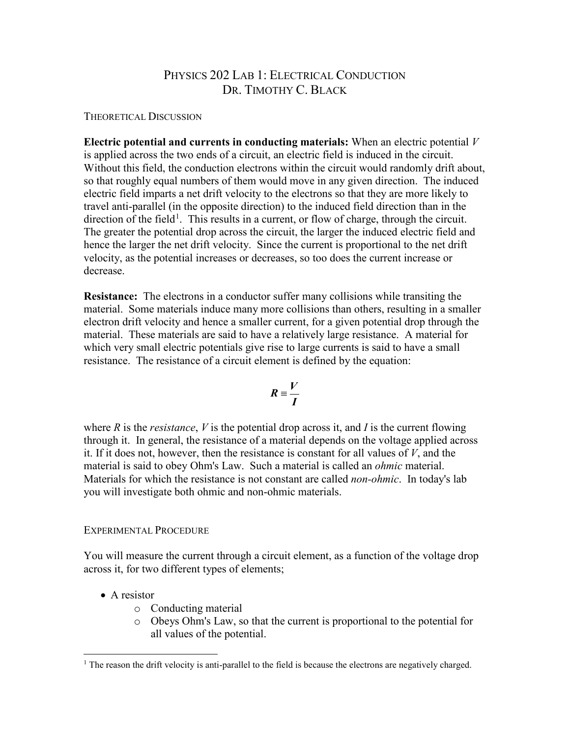# PHYSICS 202 LAB 1: ELECTRICAL CONDUCTION DR. TIMOTHY C. BLACK

#### THEORETICAL DISCUSSION

**Electric potential and currents in conducting materials:** When an electric potential *V*  is applied across the two ends of a circuit, an electric field is induced in the circuit. Without this field, the conduction electrons within the circuit would randomly drift about, so that roughly equal numbers of them would move in any given direction. The induced electric field imparts a net drift velocity to the electrons so that they are more likely to travel anti-parallel (in the opposite direction) to the induced field direction than in the direction of the field<sup>[1](#page-0-0)</sup>. This results in a current, or flow of charge, through the circuit. The greater the potential drop across the circuit, the larger the induced electric field and hence the larger the net drift velocity. Since the current is proportional to the net drift velocity, as the potential increases or decreases, so too does the current increase or decrease.

**Resistance:** The electrons in a conductor suffer many collisions while transiting the material. Some materials induce many more collisions than others, resulting in a smaller electron drift velocity and hence a smaller current, for a given potential drop through the material. These materials are said to have a relatively large resistance. A material for which very small electric potentials give rise to large currents is said to have a small resistance. The resistance of a circuit element is defined by the equation:

$$
R\equiv\frac{V}{I}
$$

where *R* is the *resistance*, *V* is the potential drop across it, and *I* is the current flowing through it. In general, the resistance of a material depends on the voltage applied across it. If it does not, however, then the resistance is constant for all values of *V*, and the material is said to obey Ohm's Law. Such a material is called an *ohmic* material. Materials for which the resistance is not constant are called *non-ohmic*. In today's lab you will investigate both ohmic and non-ohmic materials.

## EXPERIMENTAL PROCEDURE

You will measure the current through a circuit element, as a function of the voltage drop across it, for two different types of elements;

- A resistor
	- o Conducting material
	- o Obeys Ohm's Law, so that the current is proportional to the potential for all values of the potential.

<span id="page-0-0"></span><sup>&</sup>lt;sup>1</sup> The reason the drift velocity is anti-parallel to the field is because the electrons are negatively charged.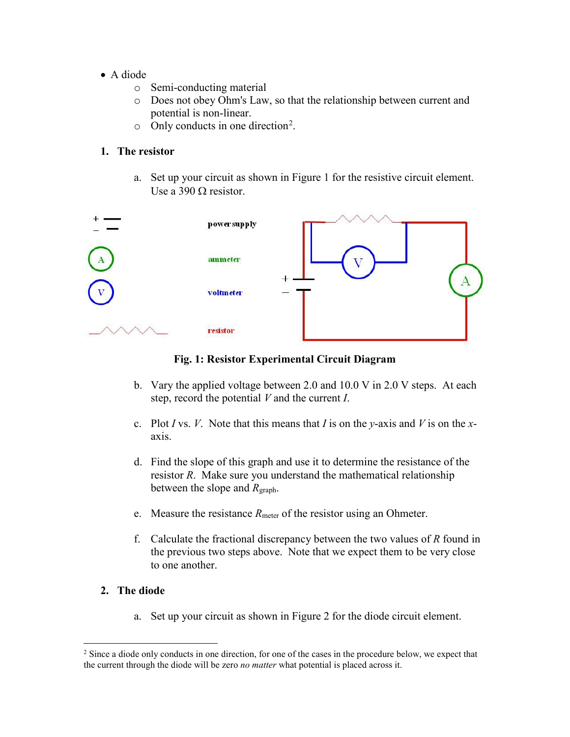- A diode
	- o Semi-conducting material
	- o Does not obey Ohm's Law, so that the relationship between current and potential is non-linear.
	- $\circ$  Only conducts in one direction<sup>[2](#page-1-0)</sup>.

# **1. The resistor**

a. Set up your circuit as shown in Figure 1 for the resistive circuit element. Use a 390  $\Omega$  resistor.



### **Fig. 1: Resistor Experimental Circuit Diagram**

- b. Vary the applied voltage between 2.0 and 10.0 V in 2.0 V steps. At each step, record the potential *V* and the current *I*.
- c. Plot *I* vs. *V*. Note that this means that *I* is on the *y*-axis and *V* is on the *x*axis.
- d. Find the slope of this graph and use it to determine the resistance of the resistor *R*. Make sure you understand the mathematical relationship between the slope and *R*graph.
- e. Measure the resistance *R*<sub>meter</sub> of the resistor using an Ohmeter.
- f. Calculate the fractional discrepancy between the two values of *R* found in the previous two steps above. Note that we expect them to be very close to one another.

## **2. The diode**

a. Set up your circuit as shown in Figure 2 for the diode circuit element.

<span id="page-1-0"></span><sup>&</sup>lt;sup>2</sup> Since a diode only conducts in one direction, for one of the cases in the procedure below, we expect that the current through the diode will be zero *no matter* what potential is placed across it.